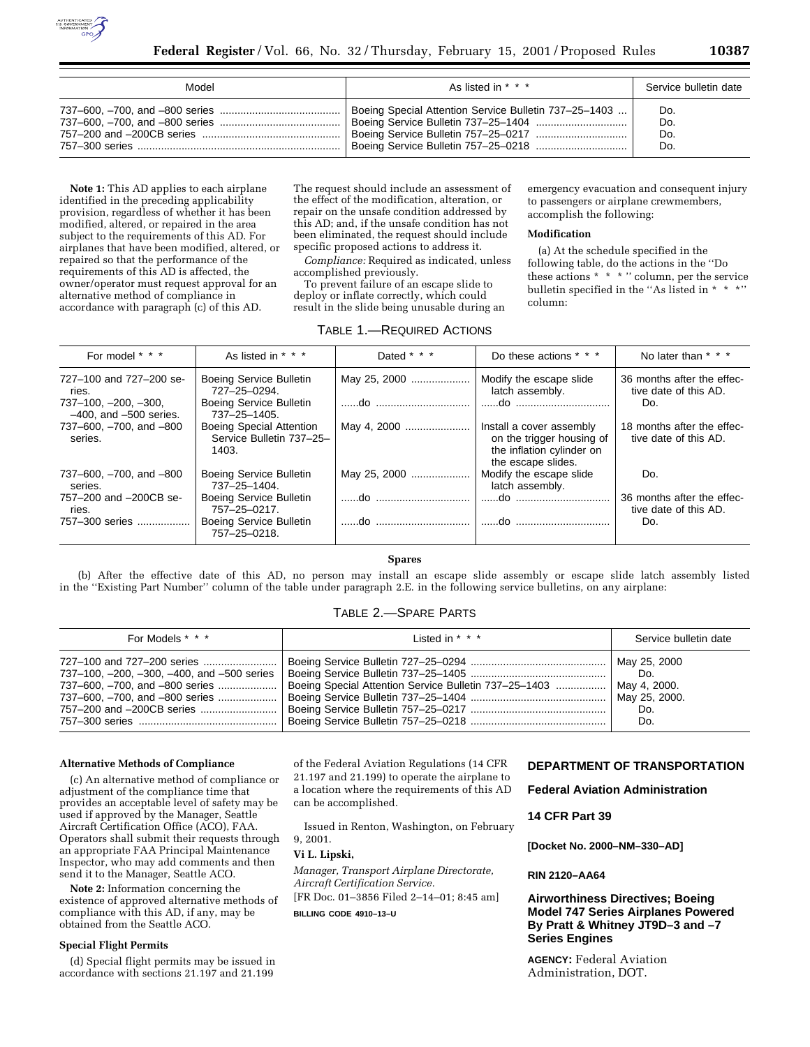

| Model | As listed in * * *                                    | Service bulletin date |
|-------|-------------------------------------------------------|-----------------------|
|       | Boeing Special Attention Service Bulletin 737-25-1403 | Do.                   |
|       |                                                       | Do.                   |
|       |                                                       | Do.                   |
|       |                                                       | Do.                   |

**Note 1:** This AD applies to each airplane identified in the preceding applicability provision, regardless of whether it has been modified, altered, or repaired in the area subject to the requirements of this AD. For airplanes that have been modified, altered, or repaired so that the performance of the requirements of this AD is affected, the owner/operator must request approval for an alternative method of compliance in accordance with paragraph (c) of this AD.

The request should include an assessment of the effect of the modification, alteration, or repair on the unsafe condition addressed by this AD; and, if the unsafe condition has not been eliminated, the request should include specific proposed actions to address it.

*Compliance:* Required as indicated, unless accomplished previously.

To prevent failure of an escape slide to deploy or inflate correctly, which could

result in the slide being unusable during an

emergency evacuation and consequent injury to passengers or airplane crewmembers, accomplish the following:

### **Modification**

(a) At the schedule specified in the following table, do the actions in the ''Do these actions \* \* \* '' column, per the service bulletin specified in the "As listed in \* \* \*" column:

# TABLE 1.—REQUIRED ACTIONS

| For model * * *                                       | As listed in * * *                                            | Dated * * *  | Do these actions * * *                                                                                   | No later than * * *                                 |
|-------------------------------------------------------|---------------------------------------------------------------|--------------|----------------------------------------------------------------------------------------------------------|-----------------------------------------------------|
| 727-100 and 727-200 se-<br>ries.                      | Boeing Service Bulletin<br>727-25-0294.                       | May 25, 2000 | Modify the escape slide<br>latch assembly.                                                               | 36 months after the effec-<br>tive date of this AD. |
| $737-100, -200, -300,$<br>$-400$ , and $-500$ series. | Boeing Service Bulletin<br>737-25-1405.                       |              |                                                                                                          | Do.                                                 |
| 737-600, -700, and -800<br>series.                    | Boeing Special Attention<br>Service Bulletin 737-25-<br>1403. | May 4, 2000  | Install a cover assembly<br>on the trigger housing of<br>the inflation cylinder on<br>the escape slides. | 18 months after the effec-<br>tive date of this AD. |
| 737-600, -700, and -800<br>series.                    | Boeing Service Bulletin<br>737-25-1404.                       | May 25, 2000 | Modify the escape slide<br>latch assembly.                                                               | Do.                                                 |
| 757-200 and -200CB se-<br>ries.                       | Boeing Service Bulletin<br>757-25-0217.                       |              |                                                                                                          | 36 months after the effec-<br>tive date of this AD. |
| 757-300 series                                        | Boeing Service Bulletin<br>757-25-0218.                       |              |                                                                                                          | Do.                                                 |

**Spares**

(b) After the effective date of this AD, no person may install an escape slide assembly or escape slide latch assembly listed in the ''Existing Part Number'' column of the table under paragraph 2.E. in the following service bulletins, on any airplane:

# TABLE 2.—SPARE PARTS

| For Models * * *                           | $listed in * * *$                                     | Service bulletin date |
|--------------------------------------------|-------------------------------------------------------|-----------------------|
|                                            |                                                       | May 25, 2000          |
| 737-100, -200, -300, -400, and -500 series |                                                       | Do.                   |
| 737-600, -700, and -800 series             | Boeing Special Attention Service Bulletin 737-25-1403 | May 4, 2000.          |
| 737-600, -700, and -800 series             |                                                       | May 25, 2000.         |
|                                            |                                                       | Do.                   |
|                                            |                                                       | Do.                   |

## **Alternative Methods of Compliance**

(c) An alternative method of compliance or adjustment of the compliance time that provides an acceptable level of safety may be used if approved by the Manager, Seattle Aircraft Certification Office (ACO), FAA. Operators shall submit their requests through an appropriate FAA Principal Maintenance Inspector, who may add comments and then send it to the Manager, Seattle ACO.

**Note 2:** Information concerning the existence of approved alternative methods of compliance with this AD, if any, may be obtained from the Seattle ACO.

# **Special Flight Permits**

(d) Special flight permits may be issued in accordance with sections 21.197 and 21.199

of the Federal Aviation Regulations (14 CFR 21.197 and 21.199) to operate the airplane to a location where the requirements of this AD can be accomplished.

Issued in Renton, Washington, on February 9, 2001.

## **Vi L. Lipski,**

*Manager, Transport Airplane Directorate, Aircraft Certification Service.*

[FR Doc. 01–3856 Filed 2–14–01; 8:45 am]

**BILLING CODE 4910–13–U**

# **DEPARTMENT OF TRANSPORTATION**

**Federal Aviation Administration**

**14 CFR Part 39**

**[Docket No. 2000–NM–330–AD]**

## **RIN 2120–AA64**

# **Airworthiness Directives; Boeing Model 747 Series Airplanes Powered By Pratt & Whitney JT9D–3 and –7 Series Engines**

**AGENCY:** Federal Aviation Administration, DOT.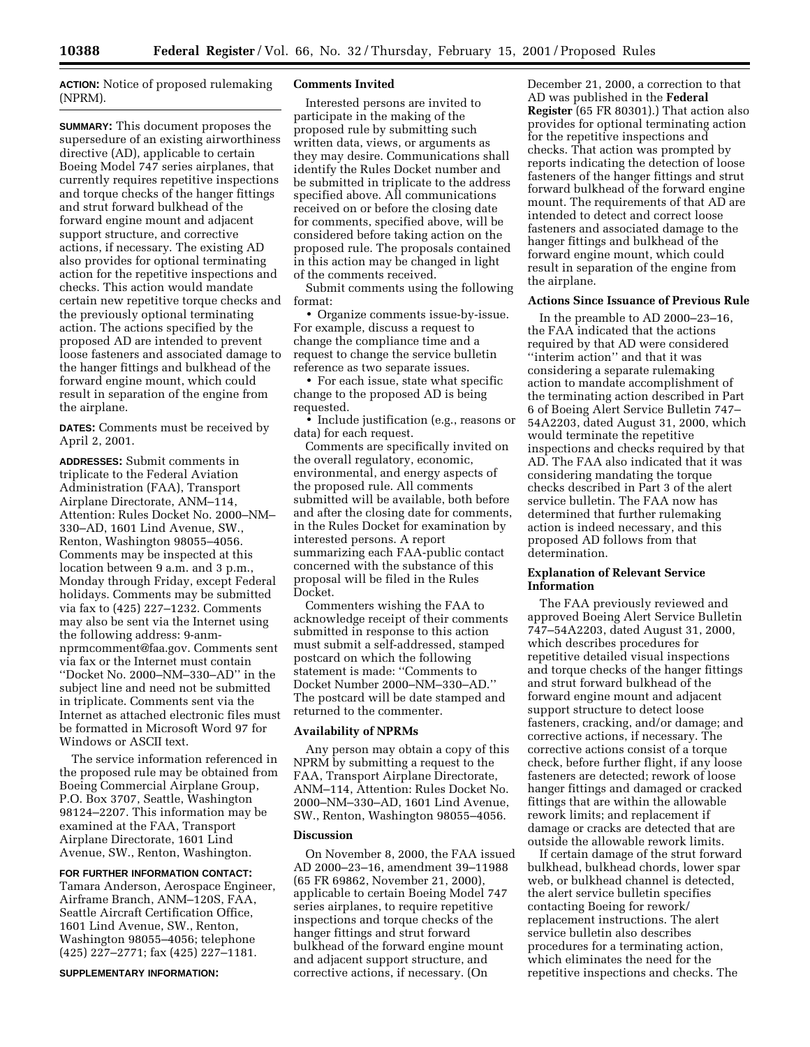**ACTION:** Notice of proposed rulemaking (NPRM).

**SUMMARY:** This document proposes the supersedure of an existing airworthiness directive (AD), applicable to certain Boeing Model 747 series airplanes, that currently requires repetitive inspections and torque checks of the hanger fittings and strut forward bulkhead of the forward engine mount and adjacent support structure, and corrective actions, if necessary. The existing AD also provides for optional terminating action for the repetitive inspections and checks. This action would mandate certain new repetitive torque checks and the previously optional terminating action. The actions specified by the proposed AD are intended to prevent loose fasteners and associated damage to the hanger fittings and bulkhead of the forward engine mount, which could result in separation of the engine from the airplane.

**DATES:** Comments must be received by April 2, 2001.

**ADDRESSES:** Submit comments in triplicate to the Federal Aviation Administration (FAA), Transport Airplane Directorate, ANM–114, Attention: Rules Docket No. 2000–NM– 330–AD, 1601 Lind Avenue, SW., Renton, Washington 98055–4056. Comments may be inspected at this location between 9 a.m. and 3 p.m., Monday through Friday, except Federal holidays. Comments may be submitted via fax to (425) 227–1232. Comments may also be sent via the Internet using the following address: 9-anmnprmcomment@faa.gov. Comments sent via fax or the Internet must contain ''Docket No. 2000–NM–330–AD'' in the subject line and need not be submitted in triplicate. Comments sent via the Internet as attached electronic files must be formatted in Microsoft Word 97 for Windows or ASCII text.

The service information referenced in the proposed rule may be obtained from Boeing Commercial Airplane Group, P.O. Box 3707, Seattle, Washington 98124–2207. This information may be examined at the FAA, Transport Airplane Directorate, 1601 Lind Avenue, SW., Renton, Washington.

# **FOR FURTHER INFORMATION CONTACT:**

Tamara Anderson, Aerospace Engineer, Airframe Branch, ANM–120S, FAA, Seattle Aircraft Certification Office, 1601 Lind Avenue, SW., Renton, Washington 98055–4056; telephone (425) 227–2771; fax (425) 227–1181.

### **SUPPLEMENTARY INFORMATION:**

#### **Comments Invited**

Interested persons are invited to participate in the making of the proposed rule by submitting such written data, views, or arguments as they may desire. Communications shall identify the Rules Docket number and be submitted in triplicate to the address specified above. All communications received on or before the closing date for comments, specified above, will be considered before taking action on the proposed rule. The proposals contained in this action may be changed in light of the comments received.

Submit comments using the following format:

• Organize comments issue-by-issue. For example, discuss a request to change the compliance time and a request to change the service bulletin reference as two separate issues.

• For each issue, state what specific change to the proposed AD is being requested.

• Include justification (e.g., reasons or data) for each request.

Comments are specifically invited on the overall regulatory, economic, environmental, and energy aspects of the proposed rule. All comments submitted will be available, both before and after the closing date for comments, in the Rules Docket for examination by interested persons. A report summarizing each FAA-public contact concerned with the substance of this proposal will be filed in the Rules Docket.

Commenters wishing the FAA to acknowledge receipt of their comments submitted in response to this action must submit a self-addressed, stamped postcard on which the following statement is made: ''Comments to Docket Number 2000–NM–330–AD.'' The postcard will be date stamped and returned to the commenter.

#### **Availability of NPRMs**

Any person may obtain a copy of this NPRM by submitting a request to the FAA, Transport Airplane Directorate, ANM–114, Attention: Rules Docket No. 2000–NM–330–AD, 1601 Lind Avenue, SW., Renton, Washington 98055–4056.

#### **Discussion**

On November 8, 2000, the FAA issued AD 2000–23–16, amendment 39–11988 (65 FR 69862, November 21, 2000), applicable to certain Boeing Model 747 series airplanes, to require repetitive inspections and torque checks of the hanger fittings and strut forward bulkhead of the forward engine mount and adjacent support structure, and corrective actions, if necessary. (On

December 21, 2000, a correction to that AD was published in the **Federal Register** (65 FR 80301).) That action also provides for optional terminating action for the repetitive inspections and checks. That action was prompted by reports indicating the detection of loose fasteners of the hanger fittings and strut forward bulkhead of the forward engine mount. The requirements of that AD are intended to detect and correct loose fasteners and associated damage to the hanger fittings and bulkhead of the forward engine mount, which could result in separation of the engine from the airplane.

### **Actions Since Issuance of Previous Rule**

In the preamble to AD 2000–23–16, the FAA indicated that the actions required by that AD were considered ''interim action'' and that it was considering a separate rulemaking action to mandate accomplishment of the terminating action described in Part 6 of Boeing Alert Service Bulletin 747– 54A2203, dated August 31, 2000, which would terminate the repetitive inspections and checks required by that AD. The FAA also indicated that it was considering mandating the torque checks described in Part 3 of the alert service bulletin. The FAA now has determined that further rulemaking action is indeed necessary, and this proposed AD follows from that determination.

# **Explanation of Relevant Service Information**

The FAA previously reviewed and approved Boeing Alert Service Bulletin 747–54A2203, dated August 31, 2000, which describes procedures for repetitive detailed visual inspections and torque checks of the hanger fittings and strut forward bulkhead of the forward engine mount and adjacent support structure to detect loose fasteners, cracking, and/or damage; and corrective actions, if necessary. The corrective actions consist of a torque check, before further flight, if any loose fasteners are detected; rework of loose hanger fittings and damaged or cracked fittings that are within the allowable rework limits; and replacement if damage or cracks are detected that are outside the allowable rework limits.

If certain damage of the strut forward bulkhead, bulkhead chords, lower spar web, or bulkhead channel is detected, the alert service bulletin specifies contacting Boeing for rework/ replacement instructions. The alert service bulletin also describes procedures for a terminating action, which eliminates the need for the repetitive inspections and checks. The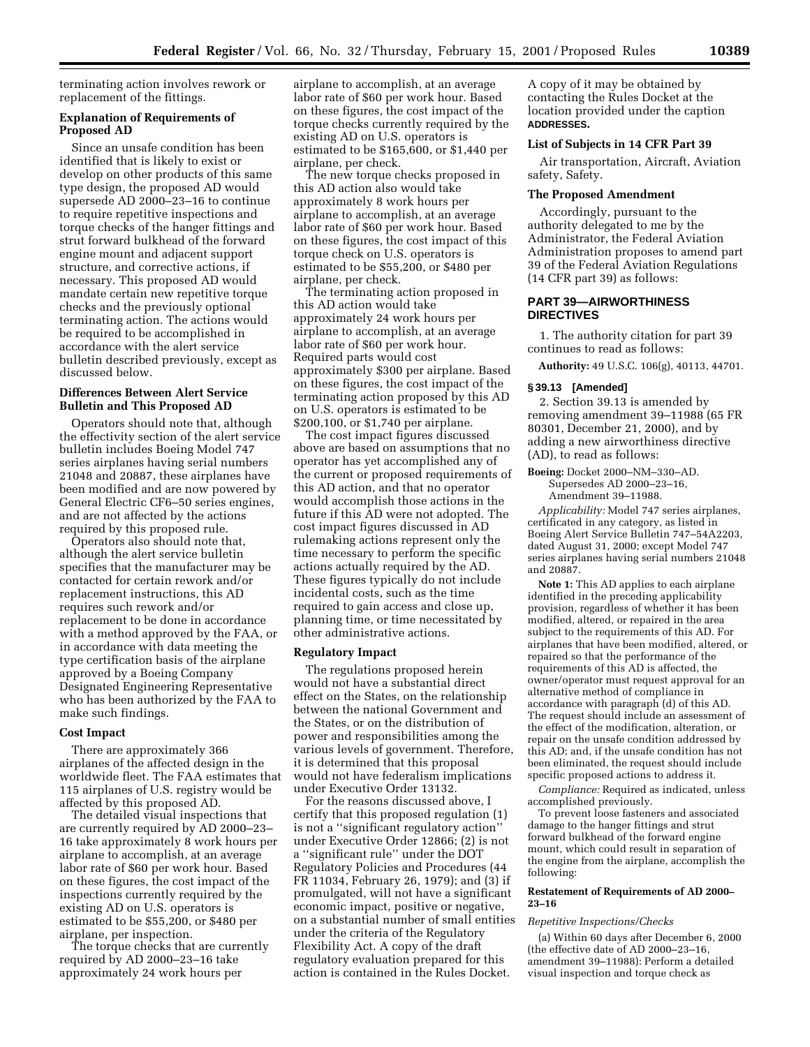terminating action involves rework or replacement of the fittings.

# **Explanation of Requirements of Proposed AD**

Since an unsafe condition has been identified that is likely to exist or develop on other products of this same type design, the proposed AD would supersede AD 2000–23–16 to continue to require repetitive inspections and torque checks of the hanger fittings and strut forward bulkhead of the forward engine mount and adjacent support structure, and corrective actions, if necessary. This proposed AD would mandate certain new repetitive torque checks and the previously optional terminating action. The actions would be required to be accomplished in accordance with the alert service bulletin described previously, except as discussed below.

# **Differences Between Alert Service Bulletin and This Proposed AD**

Operators should note that, although the effectivity section of the alert service bulletin includes Boeing Model 747 series airplanes having serial numbers 21048 and 20887, these airplanes have been modified and are now powered by General Electric CF6–50 series engines, and are not affected by the actions required by this proposed rule.

Operators also should note that, although the alert service bulletin specifies that the manufacturer may be contacted for certain rework and/or replacement instructions, this AD requires such rework and/or replacement to be done in accordance with a method approved by the FAA, or in accordance with data meeting the type certification basis of the airplane approved by a Boeing Company Designated Engineering Representative who has been authorized by the FAA to make such findings.

# **Cost Impact**

There are approximately 366 airplanes of the affected design in the worldwide fleet. The FAA estimates that 115 airplanes of U.S. registry would be affected by this proposed AD.

The detailed visual inspections that are currently required by AD 2000–23– 16 take approximately 8 work hours per airplane to accomplish, at an average labor rate of \$60 per work hour. Based on these figures, the cost impact of the inspections currently required by the existing AD on U.S. operators is estimated to be \$55,200, or \$480 per airplane, per inspection.

The torque checks that are currently required by AD 2000–23–16 take approximately 24 work hours per

airplane to accomplish, at an average labor rate of \$60 per work hour. Based on these figures, the cost impact of the torque checks currently required by the existing AD on U.S. operators is estimated to be \$165,600, or \$1,440 per airplane, per check.

The new torque checks proposed in this AD action also would take approximately 8 work hours per airplane to accomplish, at an average labor rate of \$60 per work hour. Based on these figures, the cost impact of this torque check on U.S. operators is estimated to be \$55,200, or \$480 per airplane, per check.

The terminating action proposed in this AD action would take approximately 24 work hours per airplane to accomplish, at an average labor rate of \$60 per work hour. Required parts would cost approximately \$300 per airplane. Based on these figures, the cost impact of the terminating action proposed by this AD on U.S. operators is estimated to be \$200,100, or \$1,740 per airplane.

The cost impact figures discussed above are based on assumptions that no operator has yet accomplished any of the current or proposed requirements of this AD action, and that no operator would accomplish those actions in the future if this AD were not adopted. The cost impact figures discussed in AD rulemaking actions represent only the time necessary to perform the specific actions actually required by the AD. These figures typically do not include incidental costs, such as the time required to gain access and close up, planning time, or time necessitated by other administrative actions.

## **Regulatory Impact**

The regulations proposed herein would not have a substantial direct effect on the States, on the relationship between the national Government and the States, or on the distribution of power and responsibilities among the various levels of government. Therefore, it is determined that this proposal would not have federalism implications under Executive Order 13132.

For the reasons discussed above, I certify that this proposed regulation (1) is not a ''significant regulatory action'' under Executive Order 12866; (2) is not a ''significant rule'' under the DOT Regulatory Policies and Procedures (44 FR 11034, February 26, 1979); and (3) if promulgated, will not have a significant economic impact, positive or negative, on a substantial number of small entities under the criteria of the Regulatory Flexibility Act. A copy of the draft regulatory evaluation prepared for this action is contained in the Rules Docket.

A copy of it may be obtained by contacting the Rules Docket at the location provided under the caption **ADDRESSES.**

# **List of Subjects in 14 CFR Part 39**

Air transportation, Aircraft, Aviation safety, Safety.

## **The Proposed Amendment**

Accordingly, pursuant to the authority delegated to me by the Administrator, the Federal Aviation Administration proposes to amend part 39 of the Federal Aviation Regulations (14 CFR part 39) as follows:

# **PART 39—AIRWORTHINESS DIRECTIVES**

1. The authority citation for part 39 continues to read as follows:

**Authority:** 49 U.S.C. 106(g), 40113, 44701.

# **§ 39.13 [Amended]**

2. Section 39.13 is amended by removing amendment 39–11988 (65 FR 80301, December 21, 2000), and by adding a new airworthiness directive (AD), to read as follows:

### **Boeing:** Docket 2000–NM–330–AD. Supersedes AD 2000–23–16, Amendment 39–11988.

*Applicability:* Model 747 series airplanes, certificated in any category, as listed in Boeing Alert Service Bulletin 747–54A2203, dated August 31, 2000; except Model 747 series airplanes having serial numbers 21048 and 20887.

**Note 1:** This AD applies to each airplane identified in the preceding applicability provision, regardless of whether it has been modified, altered, or repaired in the area subject to the requirements of this AD. For airplanes that have been modified, altered, or repaired so that the performance of the requirements of this AD is affected, the owner/operator must request approval for an alternative method of compliance in accordance with paragraph (d) of this AD. The request should include an assessment of the effect of the modification, alteration, or repair on the unsafe condition addressed by this AD; and, if the unsafe condition has not been eliminated, the request should include specific proposed actions to address it.

*Compliance:* Required as indicated, unless accomplished previously.

To prevent loose fasteners and associated damage to the hanger fittings and strut forward bulkhead of the forward engine mount, which could result in separation of the engine from the airplane, accomplish the following:

#### **Restatement of Requirements of AD 2000– 23–16**

### *Repetitive Inspections/Checks*

(a) Within 60 days after December 6, 2000 (the effective date of AD 2000–23–16, amendment 39–11988): Perform a detailed visual inspection and torque check as